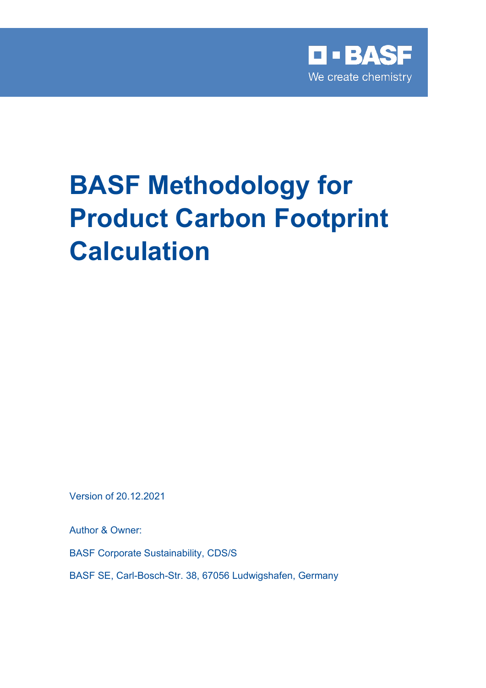

# **BASF Methodology for Product Carbon Footprint Calculation**

Version of 20.12.2021

Author & Owner:

BASF Corporate Sustainability, CDS/S

BASF SE, Carl-Bosch-Str. 38, 67056 Ludwigshafen, Germany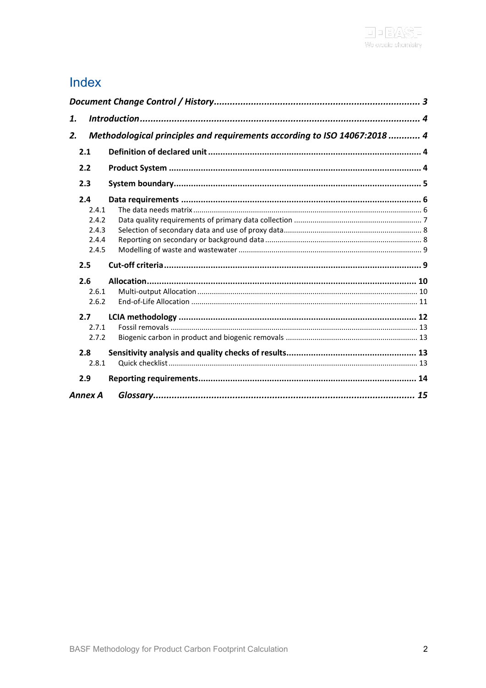# Index

| 1.                      |                                                                           |  |  |  |  |
|-------------------------|---------------------------------------------------------------------------|--|--|--|--|
| 2.                      | Methodological principles and requirements according to ISO 14067:2018  4 |  |  |  |  |
| 2.1                     |                                                                           |  |  |  |  |
| 2.2                     |                                                                           |  |  |  |  |
| 2.3                     |                                                                           |  |  |  |  |
| 2.4                     |                                                                           |  |  |  |  |
| 2.4.1<br>2.4.2<br>2.4.3 |                                                                           |  |  |  |  |
| 2.4.4<br>2.4.5          |                                                                           |  |  |  |  |
| 2.5                     |                                                                           |  |  |  |  |
| 2.6<br>2.6.1<br>2.6.2   |                                                                           |  |  |  |  |
| 2.7                     | 2.7.1<br>2.7.2                                                            |  |  |  |  |
| 2.8<br>2.8.1            |                                                                           |  |  |  |  |
| 2.9<br>Annex A          |                                                                           |  |  |  |  |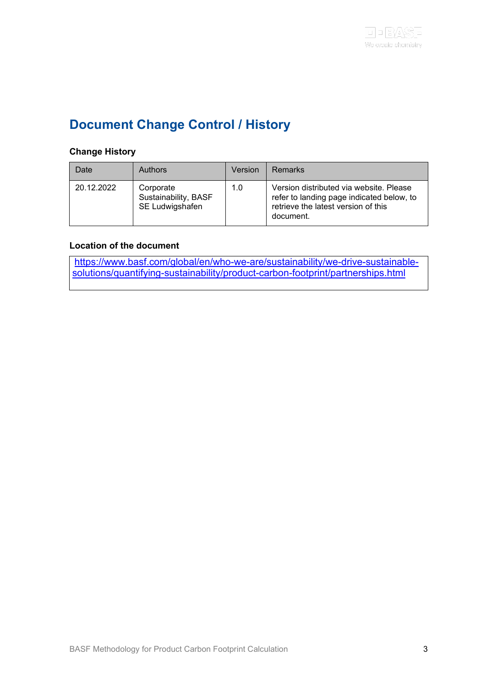# <span id="page-2-0"></span>**Document Change Control / History**

#### **Change History**

| Date       | Authors                                              | Version | <b>Remarks</b>                                                                                                                           |
|------------|------------------------------------------------------|---------|------------------------------------------------------------------------------------------------------------------------------------------|
| 20.12.2022 | Corporate<br>Sustainability, BASF<br>SE Ludwigshafen | 1.0     | Version distributed via website. Please<br>refer to landing page indicated below, to<br>retrieve the latest version of this<br>document. |

#### **Location of the document**

[https://www.basf.com/global/en/who-we-are/sustainability/we-drive-sustainable](https://www.basf.com/global/en/who-we-are/sustainability/we-drive-sustainable-solutions/quantifying-sustainability/product-carbon-footprint/partnerships.html)[solutions/quantifying-sustainability/product-carbon-footprint/partnerships.html](https://www.basf.com/global/en/who-we-are/sustainability/we-drive-sustainable-solutions/quantifying-sustainability/product-carbon-footprint/partnerships.html)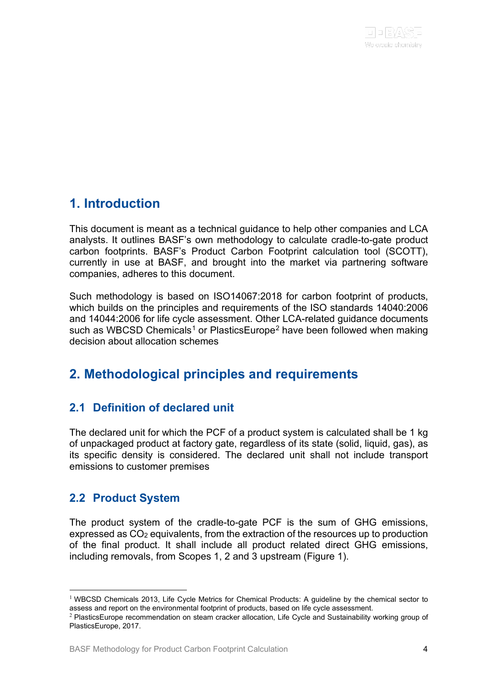# <span id="page-3-0"></span>**1. Introduction**

This document is meant as a technical guidance to help other companies and LCA analysts. It outlines BASF's own methodology to calculate cradle-to-gate product carbon footprints. BASF's Product Carbon Footprint calculation tool (SCOTT), currently in use at BASF, and brought into the market via partnering software companies, adheres to this document.

Such methodology is based on ISO14067:2018 for carbon footprint of products, which builds on the principles and requirements of the ISO standards 14040:2006 and 14044:2006 for life cycle assessment. Other LCA-related guidance documents such as WBCSD Chemicals<sup>[1](#page-3-4)</sup> or PlasticsEurope<sup>[2](#page-3-5)</sup> have been followed when making decision about allocation schemes

# <span id="page-3-1"></span>**2. Methodological principles and requirements**

# <span id="page-3-2"></span>**2.1 Definition of declared unit**

The declared unit for which the PCF of a product system is calculated shall be 1 kg of unpackaged product at factory gate, regardless of its state (solid, liquid, gas), as its specific density is considered. The declared unit shall not include transport emissions to customer premises

## <span id="page-3-3"></span>**2.2 Product System**

The product system of the cradle-to-gate PCF is the sum of GHG emissions, expressed as  $CO<sub>2</sub>$  equivalents, from the extraction of the resources up to production of the final product. It shall include all product related direct GHG emissions, including removals, from Scopes 1, 2 and 3 upstream (Figure 1).

<span id="page-3-4"></span><sup>&</sup>lt;sup>1</sup> WBCSD Chemicals 2013, Life Cycle Metrics for Chemical Products: A guideline by the chemical sector to assess and report on the environmental footprint of products, based on life cycle assessment.

<span id="page-3-5"></span> $2$  PlasticsEurope recommendation on steam cracker allocation, Life Cycle and Sustainability working group of PlasticsEurope, 2017.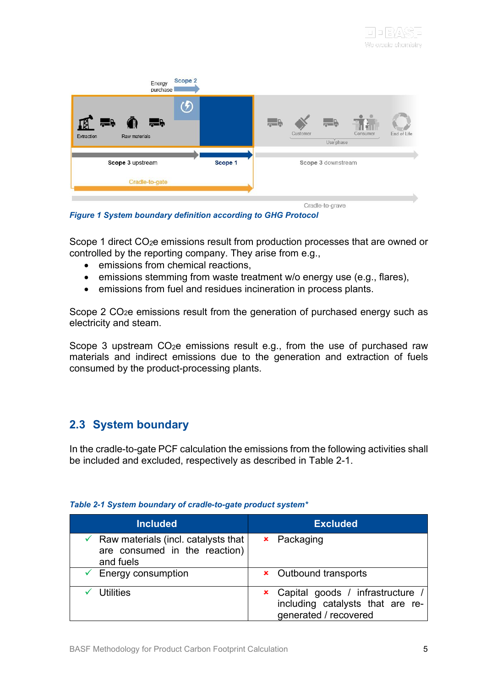

*Figure 1 System boundary definition according to GHG Protocol*

Scope 1 direct CO<sub>2</sub>e emissions result from production processes that are owned or controlled by the reporting company. They arise from e.g.,

- emissions from chemical reactions.
- emissions stemming from waste treatment w/o energy use (e.g., flares),
- emissions from fuel and residues incineration in process plants.

Scope 2 CO<sub>2</sub>e emissions result from the generation of purchased energy such as electricity and steam.

Scope 3 upstream CO<sub>2</sub>e emissions result e.g., from the use of purchased raw materials and indirect emissions due to the generation and extraction of fuels consumed by the product-processing plants.

## <span id="page-4-0"></span>**2.3 System boundary**

In the cradle-to-gate PCF calculation the emissions from the following activities shall be included and excluded, respectively as described in [Table 2-1.](#page-4-1)

| <b>Included</b>                                                                                  | <b>Excluded</b>                                                                                      |
|--------------------------------------------------------------------------------------------------|------------------------------------------------------------------------------------------------------|
| $\checkmark$ Raw materials (incl. catalysts that  <br>are consumed in the reaction)<br>and fuels | <b>×</b> Packaging                                                                                   |
| $\checkmark$ Energy consumption                                                                  | <b>×</b> Outbound transports                                                                         |
| <b>Utilities</b>                                                                                 | <b>×</b> Capital goods / infrastructure<br>including catalysts that are re-<br>generated / recovered |

#### <span id="page-4-1"></span>*Table 2-1 System boundary of cradle-to-gate product system\**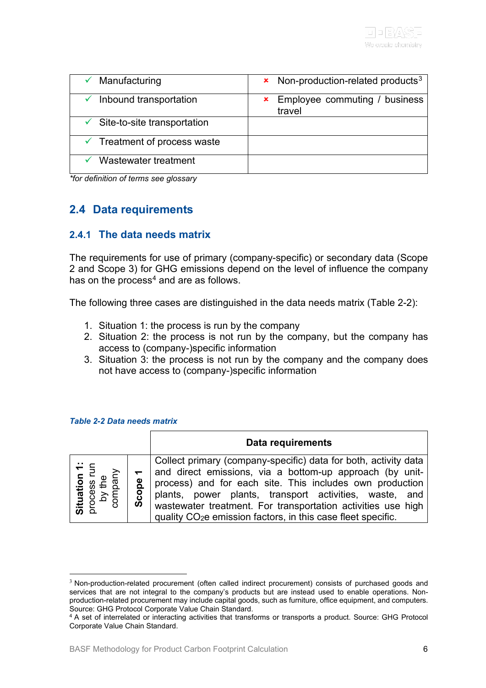| $\checkmark$ Manufacturing               | $\star$ Non-production-related products <sup>3</sup> |
|------------------------------------------|------------------------------------------------------|
| Inbound transportation                   | <b>*</b> Employee commuting / business<br>travel     |
| $\checkmark$ Site-to-site transportation |                                                      |
| $\checkmark$ Treatment of process waste  |                                                      |
| Wastewater treatment                     |                                                      |

<span id="page-5-0"></span>*\*for definition of terms see glossary*

## **2.4 Data requirements**

#### <span id="page-5-1"></span>**2.4.1 The data needs matrix**

The requirements for use of primary (company-specific) or secondary data (Scope 2 and Scope 3) for GHG emissions depend on the level of influence the company has on the process $4$  and are as follows.

The following three cases are distinguished in the data needs matrix [\(Table 2-2\)](#page-5-2):

- 1. Situation 1: the process is run by the company
- 2. Situation 2: the process is not run by the company, but the company has access to (company-)specific information
- 3. Situation 3: the process is not run by the company and the company does not have access to (company-)specific information

#### <span id="page-5-2"></span>*Table 2-2 Data needs matrix*

|                                                                                          |       | Data requirements                                                                                                                                                                                                                                                                                                                                                                             |
|------------------------------------------------------------------------------------------|-------|-----------------------------------------------------------------------------------------------------------------------------------------------------------------------------------------------------------------------------------------------------------------------------------------------------------------------------------------------------------------------------------------------|
| $tion$ 1:<br>ss run<br>the<br>pany<br>. ≥<br>ituatid<br>rocess<br>by t<br>compa<br>ິທີ ⊡ | Scope | Collect primary (company-specific) data for both, activity data<br>and direct emissions, via a bottom-up approach (by unit-<br>process) and for each site. This includes own production<br>plants, power plants, transport activities, waste, and<br>wastewater treatment. For transportation activities use high<br>quality CO <sub>2</sub> e emission factors, in this case fleet specific. |

<span id="page-5-3"></span><sup>&</sup>lt;sup>3</sup> Non-production-related procurement (often called indirect procurement) consists of purchased goods and services that are not integral to the company's products but are instead used to enable operations. Nonproduction-related procurement may include capital goods, such as furniture, office equipment, and computers. Source: GHG Protocol Corporate Value Chain Standard.

<span id="page-5-4"></span><sup>4</sup> A set of interrelated or interacting activities that transforms or transports a product. Source: GHG Protocol Corporate Value Chain Standard.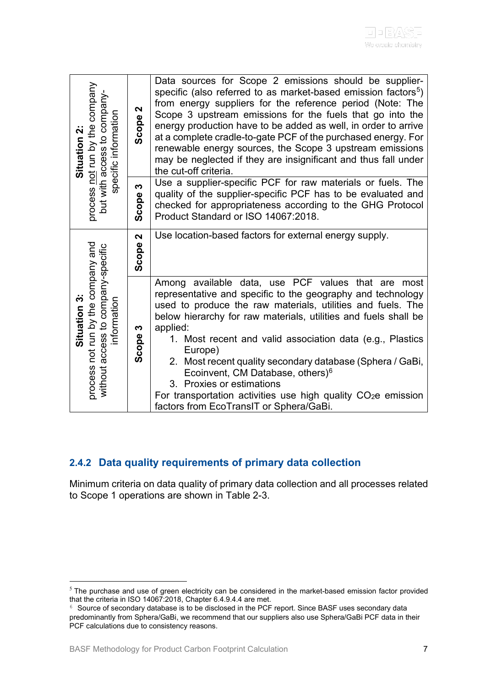| ocess not run by the company<br>but with access to company-<br>specific information<br>Situation 2:     | N<br>Scope | Data sources for Scope 2 emissions should be supplier-<br>specific (also referred to as market-based emission factors <sup>5</sup> )<br>from energy suppliers for the reference period (Note: The<br>Scope 3 upstream emissions for the fuels that go into the<br>energy production have to be added as well, in order to arrive<br>at a complete cradle-to-gate PCF of the purchased energy. For<br>renewable energy sources, the Scope 3 upstream emissions<br>may be neglected if they are insignificant and thus fall under<br>the cut-off criteria.                                                  |
|---------------------------------------------------------------------------------------------------------|------------|-----------------------------------------------------------------------------------------------------------------------------------------------------------------------------------------------------------------------------------------------------------------------------------------------------------------------------------------------------------------------------------------------------------------------------------------------------------------------------------------------------------------------------------------------------------------------------------------------------------|
| process                                                                                                 | S<br>Scope | Use a supplier-specific PCF for raw materials or fuels. The<br>quality of the supplier-specific PCF has to be evaluated and<br>checked for appropriateness according to the GHG Protocol<br>Product Standard or ISO 14067:2018.                                                                                                                                                                                                                                                                                                                                                                           |
|                                                                                                         | 2<br>Scope | Use location-based factors for external energy supply.                                                                                                                                                                                                                                                                                                                                                                                                                                                                                                                                                    |
| process not run by the company and<br>without access to company-specific<br>information<br>Situation 3: | ო<br>Scope | Among available data, use PCF values that are most<br>representative and specific to the geography and technology<br>used to produce the raw materials, utilities and fuels. The<br>below hierarchy for raw materials, utilities and fuels shall be<br>applied:<br>1. Most recent and valid association data (e.g., Plastics<br>Europe)<br>2. Most recent quality secondary database (Sphera / GaBi,<br>Ecoinvent, CM Database, others) <sup>6</sup><br>3. Proxies or estimations<br>For transportation activities use high quality CO <sub>2</sub> e emission<br>factors from EcoTransIT or Sphera/GaBi. |
|                                                                                                         |            | 2.4.2 Data quality requirements of primary data collection<br>Minimum criteria on data quality of primary data collection and all processes related<br>to Scope 1 operations are shown in Table 2-3.<br>$5$ The purchase and use of green electricity can be considered in the market-based emission factor provided<br>that the criteria in ISO 14067:2018, Chapter 6.4.9.4.4 are met.<br>6 Source of secondary database is to be disclosed in the PCF report. Since BASF uses secondary data                                                                                                            |
|                                                                                                         |            | predominantly from Sphera/GaBi, we recommend that our suppliers also use Sphera/GaBi PCF data in their<br>PCF calculations due to consistency reasons.<br><b>BASF Methodology for Product Carbon Footprint Calculation</b><br>7                                                                                                                                                                                                                                                                                                                                                                           |
|                                                                                                         |            |                                                                                                                                                                                                                                                                                                                                                                                                                                                                                                                                                                                                           |

# <span id="page-6-0"></span>**2.4.2 Data quality requirements of primary data collection**

<span id="page-6-1"></span> $5$  The purchase and use of green electricity can be considered in the market-based emission factor provided that the criteria in ISO 14067:2018, Chapter 6.4.9.4.4 are met.

<span id="page-6-2"></span><sup>6</sup> Source of secondary database is to be disclosed in the PCF report. Since BASF uses secondary data predominantly from Sphera/GaBi, we recommend that our suppliers also use Sphera/GaBi PCF data in their PCF calculations due to consistency reasons.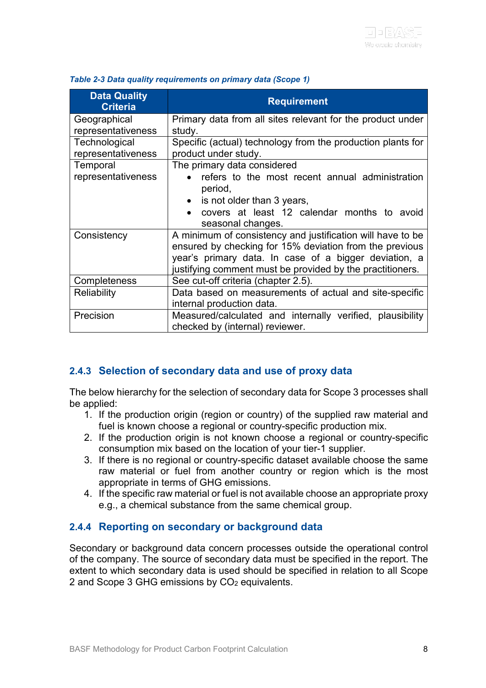| <b>Data Quality</b><br><b>Criteria</b>                                | <b>Requirement</b>                                                                                                                                                                                                                          |  |  |
|-----------------------------------------------------------------------|---------------------------------------------------------------------------------------------------------------------------------------------------------------------------------------------------------------------------------------------|--|--|
| Geographical                                                          | Primary data from all sites relevant for the product under                                                                                                                                                                                  |  |  |
| representativeness                                                    | study.                                                                                                                                                                                                                                      |  |  |
| Technological                                                         | Specific (actual) technology from the production plants for                                                                                                                                                                                 |  |  |
| representativeness                                                    | product under study.                                                                                                                                                                                                                        |  |  |
| Temporal                                                              | The primary data considered                                                                                                                                                                                                                 |  |  |
| representativeness                                                    | refers to the most recent annual administration<br>period,                                                                                                                                                                                  |  |  |
|                                                                       | $\bullet$ is not older than 3 years,                                                                                                                                                                                                        |  |  |
|                                                                       | covers at least 12 calendar months to avoid<br>seasonal changes.                                                                                                                                                                            |  |  |
| Consistency                                                           | A minimum of consistency and justification will have to be<br>ensured by checking for 15% deviation from the previous<br>year's primary data. In case of a bigger deviation, a<br>justifying comment must be provided by the practitioners. |  |  |
| Completeness                                                          | See cut-off criteria (chapter 2.5).                                                                                                                                                                                                         |  |  |
| Data based on measurements of actual and site-specific<br>Reliability |                                                                                                                                                                                                                                             |  |  |
|                                                                       | internal production data.                                                                                                                                                                                                                   |  |  |
| Precision                                                             | Measured/calculated and internally verified, plausibility<br>checked by (internal) reviewer.                                                                                                                                                |  |  |

#### <span id="page-7-2"></span>*Table 2-3 Data quality requirements on primary data (Scope 1)*

#### <span id="page-7-0"></span>**2.4.3 Selection of secondary data and use of proxy data**

The below hierarchy for the selection of secondary data for Scope 3 processes shall be applied:

- 1. If the production origin (region or country) of the supplied raw material and fuel is known choose a regional or country-specific production mix.
- 2. If the production origin is not known choose a regional or country-specific consumption mix based on the location of your tier-1 supplier.
- 3. If there is no regional or country-specific dataset available choose the same raw material or fuel from another country or region which is the most appropriate in terms of GHG emissions.
- 4. If the specific raw material or fuel is not available choose an appropriate proxy e.g., a chemical substance from the same chemical group.

#### <span id="page-7-1"></span>**2.4.4 Reporting on secondary or background data**

Secondary or background data concern processes outside the operational control of the company. The source of secondary data must be specified in the report. The extent to which secondary data is used should be specified in relation to all Scope 2 and Scope 3 GHG emissions by CO<sub>2</sub> equivalents.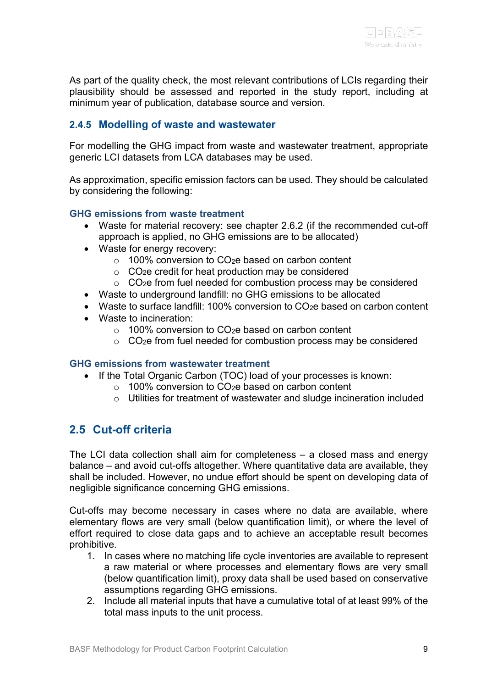As part of the quality check, the most relevant contributions of LCIs regarding their plausibility should be assessed and reported in the study report, including at minimum year of publication, database source and version.

#### <span id="page-8-0"></span>**2.4.5 Modelling of waste and wastewater**

For modelling the GHG impact from waste and wastewater treatment, appropriate generic LCI datasets from LCA databases may be used.

As approximation, specific emission factors can be used. They should be calculated by considering the following:

#### **GHG emissions from waste treatment**

- Waste for material recovery: see chapter [2.6.2](#page-10-0) (if the recommended cut-off approach is applied, no GHG emissions are to be allocated)
- Waste for energy recovery:
	- $\circ$  100% conversion to CO<sub>2</sub>e based on carbon content
	- $\circ$  CO<sub>2</sub>e credit for heat production may be considered
	- $\circ$  CO<sub>2</sub>e from fuel needed for combustion process may be considered
- Waste to underground landfill: no GHG emissions to be allocated
- Waste to surface landfill: 100% conversion to CO<sub>2</sub>e based on carbon content
- Waste to incineration:
	- $\circ$  100% conversion to CO<sub>2</sub>e based on carbon content
	- $\circ$  CO<sub>2</sub>e from fuel needed for combustion process may be considered

#### **GHG emissions from wastewater treatment**

- If the Total Organic Carbon (TOC) load of your processes is known:
	- $\circ$  100% conversion to CO<sub>2</sub>e based on carbon content
	- o Utilities for treatment of wastewater and sludge incineration included

## <span id="page-8-1"></span>**2.5 Cut-off criteria**

The LCI data collection shall aim for completeness – a closed mass and energy balance – and avoid cut-offs altogether. Where quantitative data are available, they shall be included. However, no undue effort should be spent on developing data of negligible significance concerning GHG emissions.

Cut-offs may become necessary in cases where no data are available, where elementary flows are very small (below quantification limit), or where the level of effort required to close data gaps and to achieve an acceptable result becomes prohibitive.

- 1. In cases where no matching life cycle inventories are available to represent a raw material or where processes and elementary flows are very small (below quantification limit), proxy data shall be used based on conservative assumptions regarding GHG emissions.
- 2. Include all material inputs that have a cumulative total of at least 99% of the total mass inputs to the unit process.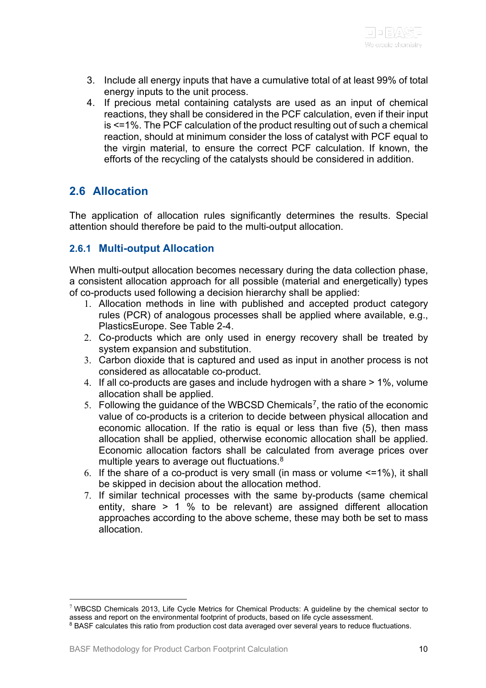- 3. Include all energy inputs that have a cumulative total of at least 99% of total energy inputs to the unit process.
- 4. If precious metal containing catalysts are used as an input of chemical reactions, they shall be considered in the PCF calculation, even if their input is <=1%. The PCF calculation of the product resulting out of such a chemical reaction, should at minimum consider the loss of catalyst with PCF equal to the virgin material, to ensure the correct PCF calculation. If known, the efforts of the recycling of the catalysts should be considered in addition.

## <span id="page-9-0"></span>**2.6 Allocation**

The application of allocation rules significantly determines the results. Special attention should therefore be paid to the multi-output allocation.

#### <span id="page-9-1"></span>**2.6.1 Multi-output Allocation**

When multi-output allocation becomes necessary during the data collection phase, a consistent allocation approach for all possible (material and energetically) types of co-products used following a decision hierarchy shall be applied:

- 1. Allocation methods in line with published and accepted product category rules (PCR) of analogous processes shall be applied where available, e.g., PlasticsEurope. See [Table 2-4.](#page-10-1)
- 2. Co-products which are only used in energy recovery shall be treated by system expansion and substitution.
- 3. Carbon dioxide that is captured and used as input in another process is not considered as allocatable co-product.
- 4. If all co-products are gases and include hydrogen with a share > 1%, volume allocation shall be applied.
- 5. Following the guidance of the WBCSD Chemicals<sup>7</sup>, the ratio of the economic value of co-products is a criterion to decide between physical allocation and economic allocation. If the ratio is equal or less than five (5), then mass allocation shall be applied, otherwise economic allocation shall be applied. Economic allocation factors shall be calculated from average prices over multiple years to average out fluctuations.<sup>[8](#page-9-3)</sup>
- 6. If the share of a co-product is very small (in mass or volume <=1%), it shall be skipped in decision about the allocation method.
- 7. If similar technical processes with the same by-products (same chemical entity, share > 1 % to be relevant) are assigned different allocation approaches according to the above scheme, these may both be set to mass allocation.

<span id="page-9-2"></span><sup>&</sup>lt;sup>7</sup> WBCSD Chemicals 2013, Life Cycle Metrics for Chemical Products: A guideline by the chemical sector to assess and report on the environmental footprint of products, based on life cycle assessment.

<span id="page-9-3"></span><sup>&</sup>lt;sup>8</sup> BASF calculates this ratio from production cost data averaged over several years to reduce fluctuations.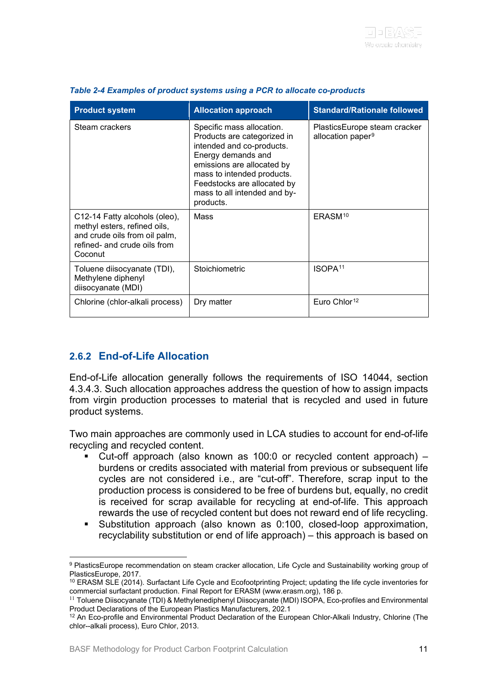| <b>Product system</b>                                                                                                                     | <b>Allocation approach</b>                                                                                                                                                                                                                          | <b>Standard/Rationale followed</b>                            |
|-------------------------------------------------------------------------------------------------------------------------------------------|-----------------------------------------------------------------------------------------------------------------------------------------------------------------------------------------------------------------------------------------------------|---------------------------------------------------------------|
| Steam crackers                                                                                                                            | Specific mass allocation.<br>Products are categorized in<br>intended and co-products.<br>Energy demands and<br>emissions are allocated by<br>mass to intended products.<br>Feedstocks are allocated by<br>mass to all intended and by-<br>products. | PlasticsEurope steam cracker<br>allocation paper <sup>9</sup> |
| C12-14 Fatty alcohols (oleo),<br>methyl esters, refined oils,<br>and crude oils from oil palm,<br>refined- and crude oils from<br>Coconut | Mass                                                                                                                                                                                                                                                | ERASM <sup>10</sup>                                           |
| Toluene diisocyanate (TDI),<br>Methylene diphenyl<br>diisocyanate (MDI)                                                                   | Stoichiometric                                                                                                                                                                                                                                      | ISOPA <sup>11</sup>                                           |
| Chlorine (chlor-alkali process)                                                                                                           | Dry matter                                                                                                                                                                                                                                          | Euro Chlor <sup>12</sup>                                      |

#### <span id="page-10-1"></span>*Table 2-4 Examples of product systems using a PCR to allocate co-products*

#### <span id="page-10-0"></span>**2.6.2 End-of-Life Allocation**

End-of-Life allocation generally follows the requirements of ISO 14044, section 4.3.4.3. Such allocation approaches address the question of how to assign impacts from virgin production processes to material that is recycled and used in future product systems.

Two main approaches are commonly used in LCA studies to account for end-of-life recycling and recycled content.

- Cut-off approach (also known as 100:0 or recycled content approach) burdens or credits associated with material from previous or subsequent life cycles are not considered i.e., are "cut-off". Therefore, scrap input to the production process is considered to be free of burdens but, equally, no credit is received for scrap available for recycling at end-of-life. This approach rewards the use of recycled content but does not reward end of life recycling.
- Substitution approach (also known as 0:100, closed-loop approximation, recyclability substitution or end of life approach) – this approach is based on

<span id="page-10-2"></span><sup>9</sup> PlasticsEurope recommendation on steam cracker allocation, Life Cycle and Sustainability working group of PlasticsEurope, 2017.

<span id="page-10-3"></span><sup>10</sup> ERASM SLE (2014). Surfactant Life Cycle and Ecofootprinting Project; updating the life cycle inventories for commercial surfactant production. Final Report for ERASM (www.erasm.org), 186 p.

<span id="page-10-4"></span><sup>&</sup>lt;sup>11</sup> Toluene Diisocyanate (TDI) & Methylenediphenyl Diisocyanate (MDI) ISOPA, Eco-profiles and Environmental Product Declarations of the European Plastics Manufacturers, 202.1

<span id="page-10-5"></span> $12$  An Eco-profile and Environmental Product Declaration of the European Chlor-Alkali Industry, Chlorine (The chlor--alkali process), Euro Chlor, 2013.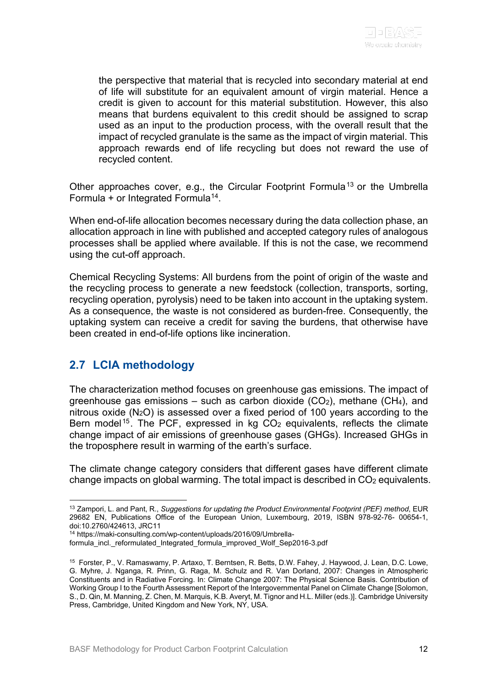the perspective that material that is recycled into secondary material at end of life will substitute for an equivalent amount of virgin material. Hence a credit is given to account for this material substitution. However, this also means that burdens equivalent to this credit should be assigned to scrap used as an input to the production process, with the overall result that the impact of recycled granulate is the same as the impact of virgin material. This approach rewards end of life recycling but does not reward the use of recycled content.

Other approaches cover, e.g., the Circular Footprint Formula<sup>[13](#page-11-1)</sup> or the Umbrella Formula  $+$  or Integrated Formula<sup>[14](#page-11-2)</sup>.

When end-of-life allocation becomes necessary during the data collection phase, an allocation approach in line with published and accepted category rules of analogous processes shall be applied where available. If this is not the case, we recommend using the cut-off approach.

Chemical Recycling Systems: All burdens from the point of origin of the waste and the recycling process to generate a new feedstock (collection, transports, sorting, recycling operation, pyrolysis) need to be taken into account in the uptaking system. As a consequence, the waste is not considered as burden-free. Consequently, the uptaking system can receive a credit for saving the burdens, that otherwise have been created in end-of-life options like incineration.

# <span id="page-11-0"></span>**2.7 LCIA methodology**

The characterization method focuses on greenhouse gas emissions. The impact of greenhouse gas emissions – such as carbon dioxide  $(CO<sub>2</sub>)$ , methane  $(CH<sub>4</sub>)$ , and nitrous oxide (N2O) is assessed over a fixed period of 100 years according to the Bern model<sup>[15](#page-11-3)</sup>. The PCF, expressed in kg  $CO<sub>2</sub>$  equivalents, reflects the climate change impact of air emissions of greenhouse gases (GHGs). Increased GHGs in the troposphere result in warming of the earth's surface.

The climate change category considers that different gases have different climate change impacts on global warming. The total impact is described in  $CO<sub>2</sub>$  equivalents.

<span id="page-11-1"></span><sup>13</sup> Zampori, L. and Pant, R., *Suggestions for updating the Product Environmental Footprint (PEF) method*, EUR 29682 EN, Publications Office of the European Union, Luxembourg, 2019, ISBN 978-92-76- 00654-1, doi:10.2760/424613, JRC11

<span id="page-11-2"></span><sup>14</sup> https://maki-consulting.com/wp-content/uploads/2016/09/Umbrella-

formula\_incl.\_reformulated\_Integrated\_formula\_improved\_Wolf\_Sep2016-3.pdf

<span id="page-11-3"></span><sup>15</sup> Forster, P., V. Ramaswamy, P. Artaxo, T. Berntsen, R. Betts, D.W. Fahey, J. Haywood, J. Lean, D.C. Lowe, G. Myhre, J. Nganga, R. Prinn, G. Raga, M. Schulz and R. Van Dorland, 2007: Changes in Atmospheric Constituents and in Radiative Forcing. In: Climate Change 2007: The Physical Science Basis. Contribution of Working Group I to the Fourth Assessment Report of the Intergovernmental Panel on Climate Change [Solomon, S., D. Qin, M. Manning, Z. Chen, M. Marquis, K.B. Averyt, M. Tignor and H.L. Miller (eds.)]. Cambridge University Press, Cambridge, United Kingdom and New York, NY, USA.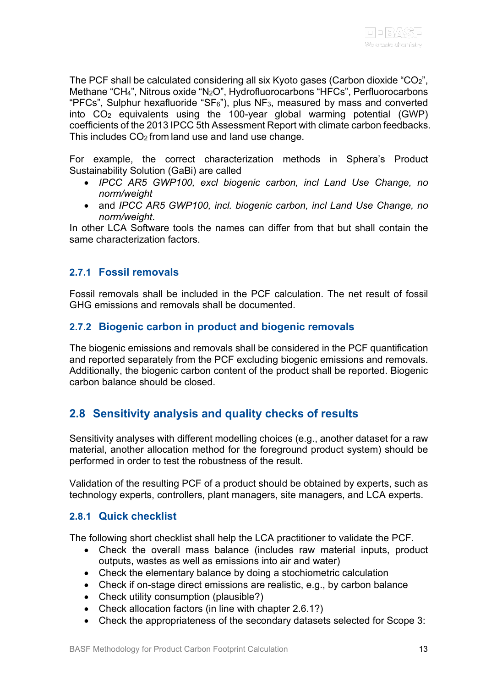The PCF shall be calculated considering all six Kyoto gases (Carbon dioxide "CO<sub>2</sub>", Methane "CH4", Nitrous oxide "N2O", Hydrofluorocarbons "HFCs", Perfluorocarbons "PFCs", Sulphur hexafluoride "SF6"), plus NF3, measured by mass and converted into CO2 equivalents using the 100-year global warming potential (GWP) coefficients of the 2013 IPCC 5th Assessment Report with climate carbon feedbacks. This includes  $CO<sub>2</sub>$  from land use and land use change.

For example, the correct characterization methods in Sphera's Product Sustainability Solution (GaBi) are called

- *IPCC AR5 GWP100, excl biogenic carbon, incl Land Use Change, no norm/weight*
- and *IPCC AR5 GWP100, incl. biogenic carbon, incl Land Use Change, no norm/weight*.

In other LCA Software tools the names can differ from that but shall contain the same characterization factors.

#### <span id="page-12-0"></span>**2.7.1 Fossil removals**

Fossil removals shall be included in the PCF calculation. The net result of fossil GHG emissions and removals shall be documented.

#### <span id="page-12-1"></span>**2.7.2 Biogenic carbon in product and biogenic removals**

The biogenic emissions and removals shall be considered in the PCF quantification and reported separately from the PCF excluding biogenic emissions and removals. Additionally, the biogenic carbon content of the product shall be reported. Biogenic carbon balance should be closed.

## <span id="page-12-2"></span>**2.8 Sensitivity analysis and quality checks of results**

Sensitivity analyses with different modelling choices (e.g., another dataset for a raw material, another allocation method for the foreground product system) should be performed in order to test the robustness of the result.

Validation of the resulting PCF of a product should be obtained by experts, such as technology experts, controllers, plant managers, site managers, and LCA experts.

#### <span id="page-12-3"></span>**2.8.1 Quick checklist**

The following short checklist shall help the LCA practitioner to validate the PCF.

- Check the overall mass balance (includes raw material inputs, product outputs, wastes as well as emissions into air and water)
- Check the elementary balance by doing a stochiometric calculation
- Check if on-stage direct emissions are realistic, e.g., by carbon balance
- Check utility consumption (plausible?)
- Check allocation factors (in line with chapter [2.6.1?](#page-9-1))
- Check the appropriateness of the secondary datasets selected for Scope 3: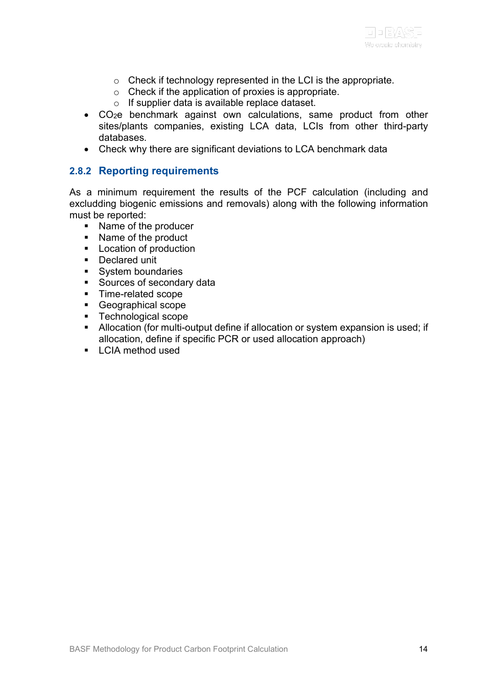- o Check if technology represented in the LCI is the appropriate.
- o Check if the application of proxies is appropriate.
- o If supplier data is available replace dataset.
- CO2e benchmark against own calculations, same product from other sites/plants companies, existing LCA data, LCIs from other third-party databases.
- Check why there are significant deviations to LCA benchmark data

#### <span id="page-13-0"></span>**2.8.2 Reporting requirements**

As a minimum requirement the results of the PCF calculation (including and excludding biogenic emissions and removals) along with the following information must be reported:

- Name of the producer
- Name of the product
- **Location of production**
- **Declared unit**
- System boundaries
- Sources of secondary data
- **Time-related scope**
- Geographical scope
- **Technological scope**
- Allocation (for multi-output define if allocation or system expansion is used; if allocation, define if specific PCR or used allocation approach)
- **LCIA method used**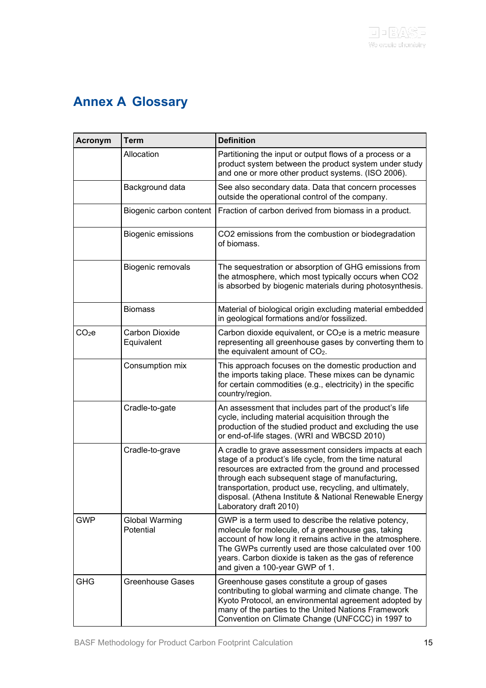# <span id="page-14-0"></span>**Annex A Glossary**

| <b>Acronym</b>    | <b>Term</b>                  | <b>Definition</b>                                                                                                                                                                                                                                                                                                                                                            |
|-------------------|------------------------------|------------------------------------------------------------------------------------------------------------------------------------------------------------------------------------------------------------------------------------------------------------------------------------------------------------------------------------------------------------------------------|
|                   | Allocation                   | Partitioning the input or output flows of a process or a<br>product system between the product system under study<br>and one or more other product systems. (ISO 2006).                                                                                                                                                                                                      |
|                   | Background data              | See also secondary data. Data that concern processes<br>outside the operational control of the company.                                                                                                                                                                                                                                                                      |
|                   | Biogenic carbon content      | Fraction of carbon derived from biomass in a product.                                                                                                                                                                                                                                                                                                                        |
|                   | <b>Biogenic emissions</b>    | CO2 emissions from the combustion or biodegradation<br>of biomass.                                                                                                                                                                                                                                                                                                           |
|                   | Biogenic removals            | The sequestration or absorption of GHG emissions from<br>the atmosphere, which most typically occurs when CO2<br>is absorbed by biogenic materials during photosynthesis.                                                                                                                                                                                                    |
|                   | <b>Biomass</b>               | Material of biological origin excluding material embedded<br>in geological formations and/or fossilized.                                                                                                                                                                                                                                                                     |
| CO <sub>2</sub> e | Carbon Dioxide<br>Equivalent | Carbon dioxide equivalent, or CO <sub>2</sub> e is a metric measure<br>representing all greenhouse gases by converting them to<br>the equivalent amount of CO <sub>2</sub> .                                                                                                                                                                                                 |
|                   | Consumption mix              | This approach focuses on the domestic production and<br>the imports taking place. These mixes can be dynamic<br>for certain commodities (e.g., electricity) in the specific<br>country/region.                                                                                                                                                                               |
|                   | Cradle-to-gate               | An assessment that includes part of the product's life<br>cycle, including material acquisition through the<br>production of the studied product and excluding the use<br>or end-of-life stages. (WRI and WBCSD 2010)                                                                                                                                                        |
|                   | Cradle-to-grave              | A cradle to grave assessment considers impacts at each<br>stage of a product's life cycle, from the time natural<br>resources are extracted from the ground and processed<br>through each subsequent stage of manufacturing,<br>transportation, product use, recycling, and ultimately,<br>disposal. (Athena Institute & National Renewable Energy<br>Laboratory draft 2010) |
| GWP               | Global Warming<br>Potential  | GWP is a term used to describe the relative potency,<br>molecule for molecule, of a greenhouse gas, taking<br>account of how long it remains active in the atmosphere.<br>The GWPs currently used are those calculated over 100<br>years. Carbon dioxide is taken as the gas of reference<br>and given a 100-year GWP of 1.                                                  |
| GHG               | Greenhouse Gases             | Greenhouse gases constitute a group of gases<br>contributing to global warming and climate change. The<br>Kyoto Protocol, an environmental agreement adopted by<br>many of the parties to the United Nations Framework<br>Convention on Climate Change (UNFCCC) in 1997 to                                                                                                   |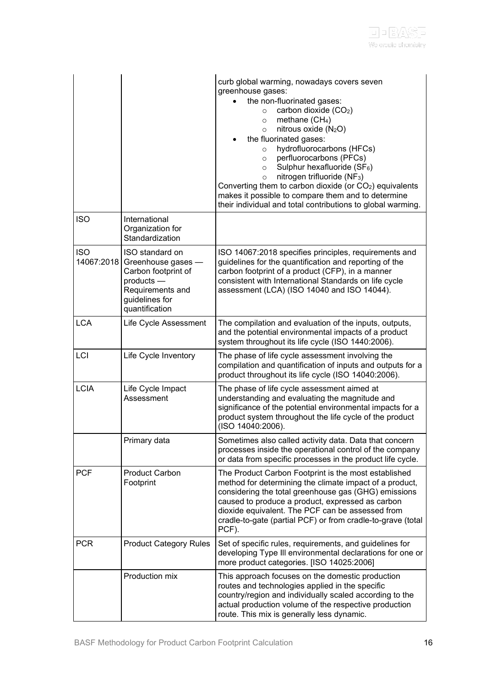|                          |                                                                                                                                    | curb global warming, nowadays covers seven<br>greenhouse gases:<br>the non-fluorinated gases:<br>carbon dioxide (CO <sub>2</sub> )<br>$\circ$<br>methane (CH <sub>4</sub> )<br>$\circ$<br>nitrous oxide (N <sub>2</sub> O)<br>$\circ$<br>the fluorinated gases:<br>hydrofluorocarbons (HFCs)<br>$\circ$<br>perfluorocarbons (PFCs)<br>$\circ$<br>Sulphur hexafluoride $(SF_6)$<br>$\circ$<br>nitrogen trifluoride (NF <sub>3</sub> )<br>$\circ$<br>Converting them to carbon dioxide (or CO <sub>2</sub> ) equivalents<br>makes it possible to compare them and to determine<br>their individual and total contributions to global warming. |
|--------------------------|------------------------------------------------------------------------------------------------------------------------------------|---------------------------------------------------------------------------------------------------------------------------------------------------------------------------------------------------------------------------------------------------------------------------------------------------------------------------------------------------------------------------------------------------------------------------------------------------------------------------------------------------------------------------------------------------------------------------------------------------------------------------------------------|
| <b>ISO</b>               | International<br>Organization for<br>Standardization                                                                               |                                                                                                                                                                                                                                                                                                                                                                                                                                                                                                                                                                                                                                             |
| <b>ISO</b><br>14067:2018 | ISO standard on<br>Greenhouse gases -<br>Carbon footprint of<br>products -<br>Requirements and<br>guidelines for<br>quantification | ISO 14067:2018 specifies principles, requirements and<br>guidelines for the quantification and reporting of the<br>carbon footprint of a product (CFP), in a manner<br>consistent with International Standards on life cycle<br>assessment (LCA) (ISO 14040 and ISO 14044).                                                                                                                                                                                                                                                                                                                                                                 |
| <b>LCA</b>               | Life Cycle Assessment                                                                                                              | The compilation and evaluation of the inputs, outputs,<br>and the potential environmental impacts of a product<br>system throughout its life cycle (ISO 1440:2006).                                                                                                                                                                                                                                                                                                                                                                                                                                                                         |
| LCI                      | Life Cycle Inventory                                                                                                               | The phase of life cycle assessment involving the<br>compilation and quantification of inputs and outputs for a<br>product throughout its life cycle (ISO 14040:2006).                                                                                                                                                                                                                                                                                                                                                                                                                                                                       |
| <b>LCIA</b>              | Life Cycle Impact<br>Assessment                                                                                                    | The phase of life cycle assessment aimed at<br>understanding and evaluating the magnitude and<br>significance of the potential environmental impacts for a<br>product system throughout the life cycle of the product<br>(ISO 14040:2006).                                                                                                                                                                                                                                                                                                                                                                                                  |
|                          | Primary data                                                                                                                       | Sometimes also called activity data. Data that concern<br>processes inside the operational control of the company<br>or data from specific processes in the product life cycle.                                                                                                                                                                                                                                                                                                                                                                                                                                                             |
| <b>PCF</b>               | <b>Product Carbon</b><br>Footprint                                                                                                 | The Product Carbon Footprint is the most established<br>method for determining the climate impact of a product,<br>considering the total greenhouse gas (GHG) emissions<br>caused to produce a product, expressed as carbon<br>dioxide equivalent. The PCF can be assessed from<br>cradle-to-gate (partial PCF) or from cradle-to-grave (total<br>PCF).                                                                                                                                                                                                                                                                                     |
| <b>PCR</b>               | <b>Product Category Rules</b>                                                                                                      | Set of specific rules, requirements, and guidelines for<br>developing Type III environmental declarations for one or<br>more product categories. [ISO 14025:2006]                                                                                                                                                                                                                                                                                                                                                                                                                                                                           |
|                          | Production mix                                                                                                                     | This approach focuses on the domestic production<br>routes and technologies applied in the specific<br>country/region and individually scaled according to the<br>actual production volume of the respective production<br>route. This mix is generally less dynamic.                                                                                                                                                                                                                                                                                                                                                                       |